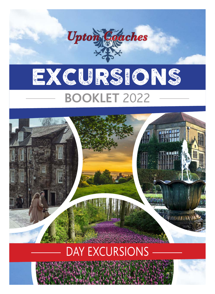

# DAY EXCURSIONS

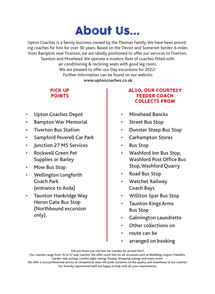## About Us...

Upton Coaches is a family business owned by the Thomas Family. We have been providing coaches for hire for over 30 years. Based on the Devon and Somerset border, 6 miles from Bampton near Tiverton, we are ideally positioned to offer our services to Tiverton, Taunton and Minehead. We operate a modern fleet of coaches fitted with air conditioning & reclining seats with good leg room. We are pleased to offer our Day excursions for 2022! Further information can be found on our website:  **www.uptoncoaches.co.uk**

## PIGR UP<br>Raisize POINTS

- Upton Coaches Depot
- **Bampton War Memorial**
- **Tiverton Bus Station**
- Sampford Peverell Car Park
- **Iunction 27 M5 Services**
- **Rockwell Green Pet** Supplies or Barley
- • Mow Bus Stop
- • Wellington Longforth Coach Park (entrance to Asda)
- • Taunton Hankridge Way Heron Gate Bus Stop (Northbound excursion only).

### ALSO, OUR COURTESY FEEDER WUAWA<br>Mali Haya Haali COLLECTS FROM

- Minehead Bancks
- • Street Bus Stop
- • Dunster Steep Bus Stop
- • Carhampton Stores
- • Bus Stop
- • Washford Inn Bus Stop, Washford Post Office Bus Stop,Washford Quarry
- • Road Bus Stop
- • Watchet Railway Coach Bays
- • Williton Spar Bus Stop
- • Taunton Kings Arms Bus Stop
- Galmington Laundrette
- Other collections on
- route can be
- arranged on booking

Did you know you can hire our coaches for private hire?

Our coaches range from 16 to 57 seat coaches. We offer coach hire for all occasions such as Weddings, Airport Transfers, Garden club outings, London sight-seeing,Theatre, Shopping outings and many more!

We offer a very professional service at competitive rates.We pride ourselves on the quality and cleanliness of our coaches. Our friendly experienced staff are happy to help with all your requirements.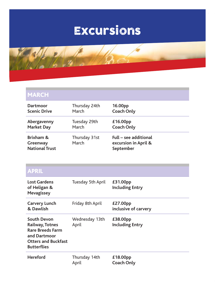# Excursions



| <b>MARCH</b>                                   |                        |                                                            |
|------------------------------------------------|------------------------|------------------------------------------------------------|
| Dartmoor                                       | Thursday 24th          | 16.00pp                                                    |
| <b>Scenic Drive</b>                            | March                  | <b>Coach Only</b>                                          |
| Abergavenny                                    | Tuesday 29th           | £16.00pp                                                   |
| <b>Market Day</b>                              | March                  | <b>Coach Only</b>                                          |
| Brixham &<br>Greenway<br><b>National Trust</b> | Thursday 31st<br>March | Full – see additional<br>excursion in April &<br>September |

| <b>APRIL</b>                                                                                                                         |                         |                                    |
|--------------------------------------------------------------------------------------------------------------------------------------|-------------------------|------------------------------------|
| <b>Lost Gardens</b><br>of Heligan &<br><b>Mevagissey</b>                                                                             | Tuesday 5th April       | £31.00pp<br><b>Including Entry</b> |
| <b>Carvery Lunch</b><br>& Dawlish                                                                                                    | Friday 8th April        | £27.00pp<br>inclusive of carvery   |
| <b>South Devon</b><br>Railway, Totnes<br><b>Rare Breeds Farm</b><br>and Dartmoor<br><b>Otters and Buckfast</b><br><b>Butterflies</b> | Wednesday 13th<br>April | £38.00pp<br><b>Including Entry</b> |
| <b>Hereford</b>                                                                                                                      | Thursday 14th<br>April  | £18.00pp<br><b>Coach Only</b>      |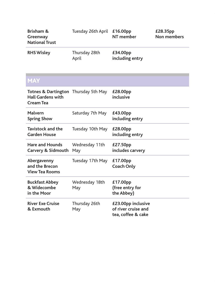| Brixham &<br>Greenway<br><b>National Trust</b>                                 | Tuesday 26th April     | £16.00pp<br>NT member                                           | £28.35pp<br><b>Non members</b> |
|--------------------------------------------------------------------------------|------------------------|-----------------------------------------------------------------|--------------------------------|
| <b>RHS Wisley</b>                                                              | Thursday 28th<br>April | £34.00pp<br>including entry                                     |                                |
| <b>MAY</b>                                                                     |                        |                                                                 |                                |
| <b>Totnes &amp; Dartington</b><br><b>Hall Gardens with</b><br><b>Cream Tea</b> | Thursday 5th May       | £28.00pp<br>inclusive                                           |                                |
| Malvern<br><b>Spring Show</b>                                                  | Saturday 7th May       | £43.00pp<br>including entry                                     |                                |
| <b>Tavistock and the</b><br><b>Garden House</b>                                | Tuesday 10th May       | £28.00pp<br>including entry                                     |                                |
| <b>Hare and Hounds</b><br>Carvery & Sidmouth                                   | Wednesday 11th<br>May  | £27.50pp<br>includes carvery                                    |                                |
| Abergavenny<br>and the Brecon<br><b>View Tea Rooms</b>                         | Tuesday 17th May       | £17.00pp<br><b>Coach Only</b>                                   |                                |
| <b>Buckfast Abbey</b><br>& Widecombe<br>in the Moor                            | Wednesday 18th<br>May  | £17.00pp<br>(free entry for<br>the Abbey)                       |                                |
| <b>River Exe Cruise</b><br>& Exmouth                                           | Thursday 26th<br>May   | £23.00pp inclusive<br>of river cruise and<br>tea, coffee & cake |                                |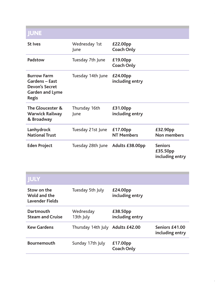| <b>JUNE</b>                                                                                      |                       |                               |                                               |
|--------------------------------------------------------------------------------------------------|-----------------------|-------------------------------|-----------------------------------------------|
| <b>St Ives</b>                                                                                   | Wednesday 1st<br>lune | £22.00pp<br><b>Coach Only</b> |                                               |
| Padstow                                                                                          | Tuesday 7th June      | £19.00pp<br><b>Coach Only</b> |                                               |
| <b>Burrow Farm</b><br><b>Gardens - East</b><br>Devon's Secret<br>Garden and Lyme<br><b>Regis</b> | Tuesday 14th June     | £24.00pp<br>including entry   |                                               |
| The Gloucester &<br><b>Warwick Railway</b><br>& Broadway                                         | Thursday 16th<br>June | £31.00pp<br>including entry   |                                               |
| Lanhydrock<br><b>National Trust</b>                                                              | Tuesday 21st June     | £17.00pp<br><b>NT Members</b> | £32.90pp<br>Non members                       |
| <b>Eden Project</b>                                                                              | Tuesday 28th June     | Adults £38.00pp               | <b>Seniors</b><br>£35.50pp<br>including entry |

| <b>JULY</b>                                    |                                  |                               |                                   |
|------------------------------------------------|----------------------------------|-------------------------------|-----------------------------------|
| Stow on the<br>Wold and the<br>Lavender Fields | Tuesday 5th July                 | £24.00pp<br>including entry   |                                   |
| Dartmouth<br><b>Steam and Cruise</b>           | Wednesday<br>13th July           | £38.50pp<br>including entry   |                                   |
| <b>Kew Gardens</b>                             | Thursday 14th July Adults £42.00 |                               | Seniors £41.00<br>including entry |
| <b>Bournemouth</b>                             | Sunday 17th July                 | £17.00pp<br><b>Coach Only</b> |                                   |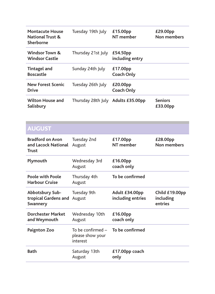| <b>Montacute House</b><br><b>National Trust &amp;</b><br>Sherborne | Tuesday 19th July                                 | £15.00pp<br>NT member               | £29.00pp<br><b>Non members</b>         |
|--------------------------------------------------------------------|---------------------------------------------------|-------------------------------------|----------------------------------------|
| Windsor Town &<br><b>Windsor Castle</b>                            | Thursday 21st July                                | £54.50pp<br>including entry         |                                        |
| <b>Tintagel and</b><br><b>Boscastle</b>                            | Sunday 24th July                                  | £17.00pp<br><b>Coach Only</b>       |                                        |
| <b>New Forest Scenic</b><br><b>Drive</b>                           | Tuesday 26th July                                 | £20.00pp<br><b>Coach Only</b>       |                                        |
| Wilton House and<br>Salisbury                                      | Thursday 28th July Adults £35.00pp                |                                     | <b>Seniors</b><br>£33.00pp             |
| <b>AUGUST</b>                                                      |                                                   |                                     |                                        |
| <b>Bradford on Avon</b><br>and Lacock National<br>Trust            | Tuesday 2nd<br>August                             | £17.00pp<br>NT member               | £28.00pp<br>Non members                |
| Plymouth                                                           | Wednesday 3rd<br>August                           | £16.00pp<br>coach only              |                                        |
| <b>Poole with Poole</b><br><b>Harbour Cruise</b>                   | Thursday 4th<br>August                            | To be confirmed                     |                                        |
| Abbotsbury Sub-<br>tropical Gardens and<br>Swannery                | Tuesday 9th<br>August                             | Adult £34.00pp<br>including entries | Child £19.00pp<br>including<br>entries |
| <b>Dorchester Market</b><br>and Weymouth                           | Wednesday 10th<br>August                          | £16.00pp<br>coach only              |                                        |
| <b>Paignton Zoo</b>                                                | To be confirmed -<br>please show your<br>interest | To be confirmed                     |                                        |
| <b>Bath</b>                                                        | Saturday 13th<br>August                           | £17.00pp coach<br>only              |                                        |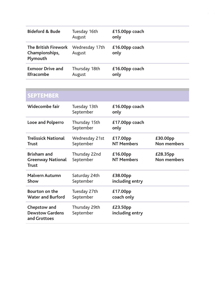| <b>Bideford &amp; Bude</b>                         | Tuesday 16th<br>August   | £15.00pp coach<br>only |
|----------------------------------------------------|--------------------------|------------------------|
| The British Firework<br>Championships,<br>Plymouth | Wednesday 17th<br>August | £16.00pp coach<br>only |
| <b>Exmoor Drive and</b><br><b>Ilfracombe</b>       | Thursday 18th<br>August  | £16.00pp coach<br>only |

| <b>SEPTEMBER</b>                                               |                             |                               |                         |
|----------------------------------------------------------------|-----------------------------|-------------------------------|-------------------------|
| Widecombe fair                                                 | Tuesday 13th<br>September   | $£16.00pp$ coach<br>only      |                         |
| Looe and Polperro                                              | Thursday 15th<br>September  | £17.00pp coach<br>only        |                         |
| <b>Trelissick National</b><br><b>Trust</b>                     | Wednesday 21st<br>September | £17.00pp<br><b>NT Members</b> | £30.00pp<br>Non members |
| <b>Brixham and</b><br><b>Greenway National</b><br><b>Trust</b> | Thursday 22nd<br>September  | £16.00pp<br><b>NT Members</b> | £28.35pp<br>Non members |
| <b>Malvern Autumn</b><br>Show                                  | Saturday 24th<br>September  | £38.00pp<br>including entry   |                         |
| <b>Bourton on the</b><br><b>Water and Burford</b>              | Tuesday 27th<br>September   | £17.00pp<br>coach only        |                         |
| Chepstow and<br><b>Dewstow Gardens</b><br>and Grottoes         | Thursday 29th<br>September  | £23.50pp<br>including entry   |                         |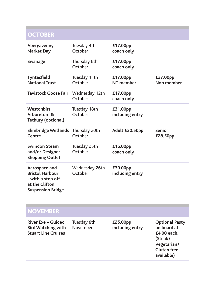## **OCTOBER**

| Abergavenny<br><b>Market Day</b>                                                                           | Tuesday 4th<br>October    | £17.00pp<br>coach only      |                           |
|------------------------------------------------------------------------------------------------------------|---------------------------|-----------------------------|---------------------------|
| Swanage                                                                                                    | Thursday 6th<br>October   | £17.00pp<br>coach only      |                           |
| <b>Tyntesfield</b><br><b>National Trust</b>                                                                | Tuesday 11th<br>October   | £17.00pp<br>NT member       | £27.00pp<br>Non member    |
| Tavistock Goose Fair                                                                                       | Wednesday 12th<br>October | £17.00pp<br>coach only      |                           |
| Westonbirt<br>Arboretum &<br><b>Tetbury (optional)</b>                                                     | Tuesday 18th<br>October   | £31.00pp<br>including entry |                           |
| <b>Slimbridge Wetlands</b><br>Centre                                                                       | Thursday 20th<br>October  | Adult £30.50pp              | <b>Senior</b><br>£28.50pp |
| <b>Swindon Steam</b><br>and/or Designer<br><b>Shopping Outlet</b>                                          | Tuesday 25th<br>October   | £16.00pp<br>coach only      |                           |
| Aerospace and<br><b>Bristol Harbour</b><br>- with a stop off<br>at the Clifton<br><b>Suspension Bridge</b> | Wednesday 26th<br>October | £30.00pp<br>including entry |                           |

| <b>NOVEMBER</b>                                                                      |                         |                             |                                                                                                                   |
|--------------------------------------------------------------------------------------|-------------------------|-----------------------------|-------------------------------------------------------------------------------------------------------------------|
| <b>River Exe - Guided</b><br><b>Bird Watching with</b><br><b>Stuart Line Cruises</b> | Tuesday 8th<br>November | £25.00pp<br>including entry | <b>Optional Pasty</b><br>on board at<br>£4.00 each.<br>(Steak/<br>Vegetarian/<br><b>Gluten free</b><br>available) |
|                                                                                      |                         |                             |                                                                                                                   |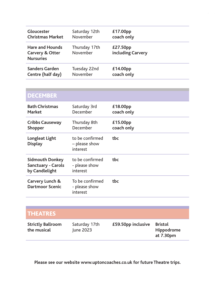| <b>Gloucester</b>                                             | Saturday 12th             | £17.00pp                      |
|---------------------------------------------------------------|---------------------------|-------------------------------|
| <b>Christmas Market</b>                                       | November                  | coach only                    |
| <b>Hare and Hounds</b><br>Carvery & Otter<br><b>Nursuries</b> | Thursday 17th<br>November | £27.50pp<br>including Carvery |
| <b>Sanders Garden</b>                                         | Tuesday 22nd              | £14.00pp                      |
| Centre (half day)                                             | November                  | coach only                    |

| <b>DECEMBER</b>                                                       |                                              |                        |
|-----------------------------------------------------------------------|----------------------------------------------|------------------------|
| <b>Bath Christmas</b><br>Market                                       | Saturday 3rd<br>December                     | £18.00pp<br>coach only |
| <b>Cribbs Causeway</b><br>Shopper                                     | Thursday 8th<br>December                     | £15.00pp<br>coach only |
| Longleat Light<br><b>Display</b>                                      | to be confirmed<br>- please show<br>interest | tbc                    |
| <b>Sidmouth Donkey</b><br><b>Sanctuary - Carols</b><br>by Candlelight | to be confirmed<br>- please show<br>interest | tbc.                   |
| Carvery Lunch &<br><b>Dartmoor Scenic</b>                             | To be confirmed<br>- please show<br>interest | tbc                    |

| <b>THEATRES</b>                         |                            |                    |                                           |
|-----------------------------------------|----------------------------|--------------------|-------------------------------------------|
| <b>Strictly Ballroom</b><br>the musical | Saturday 17th<br>June 2023 | £59.50pp inclusive | <b>Bristol</b><br>Hippodrome<br>at 7.30pm |

**Please see our website www.uptoncoaches.co.uk for future Theatre trips.**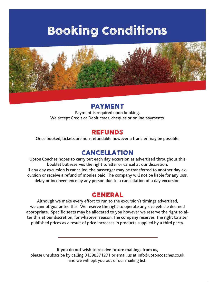## Booking Conditions



**PAYMENT**<br>Payment is required upon booking. We accept Credit or Debit cards, cheques or online payments.

REFUNDS Once booked, tickets are non-refundable however a transfer may be possible.

CANCELLATION Upton Coaches hopes to carry out each day excursion as advertised throughout this booklet but reserves the right to alter or cancel at our discretion. If any day excursion is cancelled, the passenger may be transferred to another day excursion or receive a refund of monies paid.The company will not be liable for any loss, delay or inconvenience by any person due to a cancellation of a day excursion.

Although we make every effort to run to the excursion's timings advertised, we cannot guarantee this. We reserve the right to operate any size vehicle deemed appropriate. Specific seats may be allocated to you however we reserve the right to alter this at our discretion, for whatever reason.The company reserves the right to alter published prices as a result of price increases in products supplied by a third party.

**If you do not wish to receive future mailings from us,** 

please unsubscribe by calling 01398371271 or email us at info@uptoncoaches.co.uk and we will opt you out of our mailing list.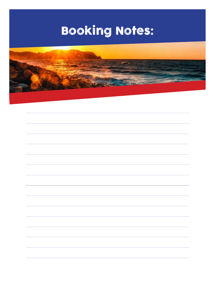# Booking Notes: